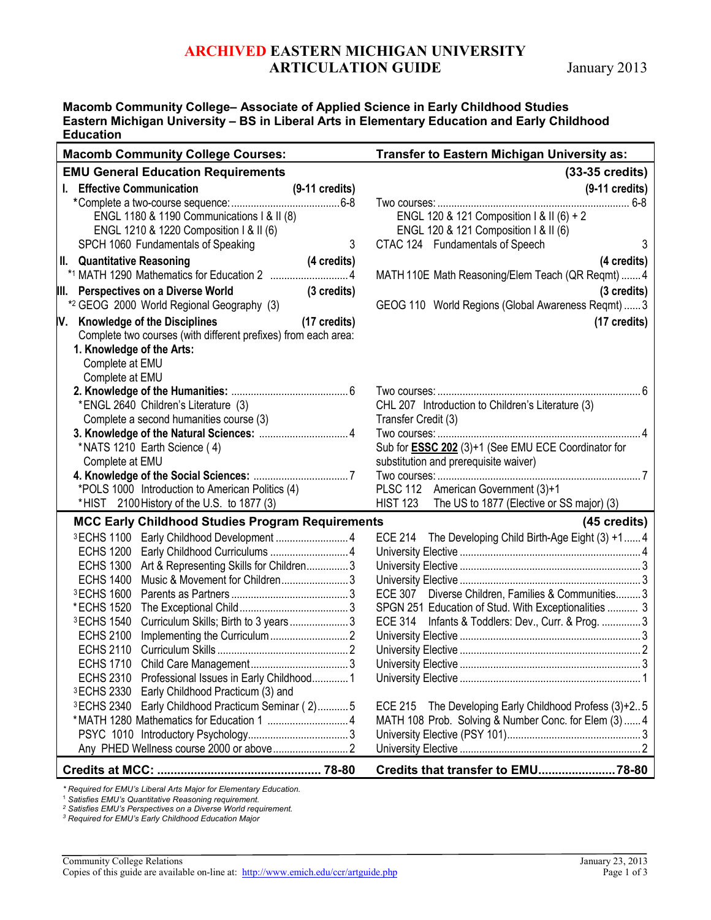# **ARCHIVED EASTERN MICHIGAN UNIVERSITY ARTICULATION GUIDE** January 2013

**Macomb Community College– Associate of Applied Science in Early Childhood Studies Eastern Michigan University – BS in Liberal Arts in Elementary Education and Early Childhood Education**

| <b>Macomb Community College Courses:</b>                                                             | Transfer to Eastern Michigan University as:                              |
|------------------------------------------------------------------------------------------------------|--------------------------------------------------------------------------|
| <b>EMU General Education Requirements</b>                                                            | (33-35 credits)                                                          |
| I. Effective Communication<br>$(9-11 \text{ credits})$                                               | $(9-11$ credits)                                                         |
|                                                                                                      |                                                                          |
| ENGL 1180 & 1190 Communications   & II (8)                                                           | ENGL 120 & 121 Composition   & II (6) + 2                                |
| ENGL 1210 & 1220 Composition I & II (6)                                                              | ENGL 120 & 121 Composition I & II (6)                                    |
| 3<br>SPCH 1060 Fundamentals of Speaking                                                              | 3<br>CTAC 124 Fundamentals of Speech                                     |
| II. Quantitative Reasoning<br>(4 credits)                                                            | (4 credits)                                                              |
| *1 MATH 1290 Mathematics for Education 2  4                                                          | MATH 110E Math Reasoning/Elem Teach (QR Reqmt)  4                        |
| III. Perspectives on a Diverse World<br>(3 credits)                                                  | (3 credits)                                                              |
| *2 GEOG 2000 World Regional Geography (3)                                                            | GEOG 110 World Regions (Global Awareness Reqmt)  3                       |
| <b>Knowledge of the Disciplines</b><br>$(17 \text{ credits})$<br>IV.                                 | $(17 \text{ credits})$                                                   |
| Complete two courses (with different prefixes) from each area:                                       |                                                                          |
| 1. Knowledge of the Arts:                                                                            |                                                                          |
| Complete at EMU                                                                                      |                                                                          |
| Complete at EMU                                                                                      |                                                                          |
|                                                                                                      |                                                                          |
| *ENGL 2640 Children's Literature (3)<br>Complete a second humanities course (3)                      | CHL 207 Introduction to Children's Literature (3)<br>Transfer Credit (3) |
| 3. Knowledge of the Natural Sciences:  4                                                             |                                                                          |
| *NATS 1210 Earth Science (4)                                                                         | Sub for <b>ESSC 202</b> (3)+1 (See EMU ECE Coordinator for               |
| Complete at EMU                                                                                      | substitution and prerequisite waiver)                                    |
|                                                                                                      |                                                                          |
|                                                                                                      | PLSC 112 American Government (3)+1                                       |
| *POLS 1000 Introduction to American Politics (4)<br>*HIST 2100 History of the U.S. to 1877 (3)       | HIST 123 The US to 1877 (Elective or SS major) (3)                       |
| <b>MCC Early Childhood Studies Program Requirements</b>                                              | (45 credits)                                                             |
| <b>3ECHS 1100</b>                                                                                    | ECE 214 The Developing Child Birth-Age Eight (3) +1 4                    |
| <b>ECHS 1200</b>                                                                                     |                                                                          |
| <b>ECHS 1300</b><br>Art & Representing Skills for Children3                                          |                                                                          |
| <b>ECHS 1400</b>                                                                                     |                                                                          |
| <sup>3</sup> ECHS 1600                                                                               | ECE 307 Diverse Children, Families & Communities 3                       |
| *ECHS 1520                                                                                           | SPGN 251 Education of Stud. With Exceptionalities  3                     |
| <sup>3</sup> ECHS 1540<br>Curriculum Skills; Birth to 3 years3                                       | <b>ECE 314</b><br>Infants & Toddlers: Dev., Curr. & Prog.  3             |
| <b>ECHS 2100</b>                                                                                     |                                                                          |
| <b>ECHS 2110</b>                                                                                     |                                                                          |
| <b>ECHS 1710</b>                                                                                     |                                                                          |
| ECHS 2310 Professional Issues in Early Childhood 1                                                   |                                                                          |
| 3 ECHS 2330 Early Childhood Practicum (3) and<br>3 ECHS 2340 Early Childhood Practicum Seminar (2) 5 | ECE 215 The Developing Early Childhood Profess (3)+25                    |
|                                                                                                      | MATH 108 Prob. Solving & Number Conc. for Elem (3)  4                    |
|                                                                                                      |                                                                          |
|                                                                                                      |                                                                          |
|                                                                                                      |                                                                          |
|                                                                                                      |                                                                          |

*\* Required for EMU's Liberal Arts Major for Elementary Education.* 

<sup>1</sup> *Satisfies EMU's Quantitative Reasoning requirement.*

*<sup>2</sup> Satisfies EMU's Perspectives on a Diverse World requirement.*

*<sup>3</sup> Required for EMU's Early Childhood Education Major*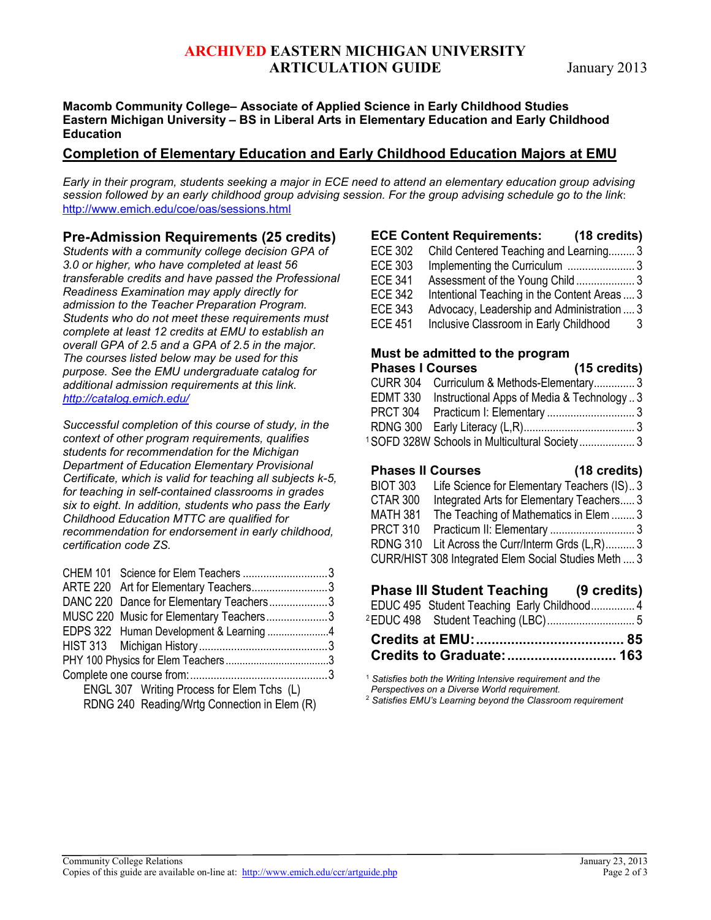# **ARCHIVED EASTERN MICHIGAN UNIVERSITY ARTICULATION GUIDE** January 2013

#### **Macomb Community College– Associate of Applied Science in Early Childhood Studies Eastern Michigan University – BS in Liberal Arts in Elementary Education and Early Childhood Education**

### **Completion of Elementary Education and Early Childhood Education Majors at EMU**

*Early in their program, students seeking a major in ECE need to attend an elementary education group advising session followed by an early childhood group advising session. For the group advising schedule go to the link*: <http://www.emich.edu/coe/oas/sessions.html>

### **Pre-Admission Requirements (25 credits)**

*Students with a community college decision GPA of 3.0 or higher, who have completed at least 56 transferable credits and have passed the Professional Readiness Examination may apply directly for admission to the Teacher Preparation Program. Students who do not meet these requirements must complete at least 12 credits at EMU to establish an overall GPA of 2.5 and a GPA of 2.5 in the major. The courses listed below may be used for this purpose. See the EMU undergraduate catalog for additional admission requirements at this link. <http://catalog.emich.edu/>*

*Successful completion of this course of study, in the context of other program requirements, qualifies students for recommendation for the Michigan Department of Education Elementary Provisional Certificate, which is valid for teaching all subjects k-5, for teaching in self-contained classrooms in grades six to eight. In addition, students who pass the Early Childhood Education MTTC are qualified for recommendation for endorsement in early childhood, certification code ZS.*

| CHEM 101 Science for Elem Teachers 3         |  |
|----------------------------------------------|--|
| ARTE 220 Art for Elementary Teachers3        |  |
| DANC 220 Dance for Elementary Teachers3      |  |
| MUSC 220 Music for Elementary Teachers3      |  |
|                                              |  |
|                                              |  |
|                                              |  |
|                                              |  |
| ENGL 307 Writing Process for Elem Tchs (L)   |  |
| RDNG 240 Reading/Wrtg Connection in Elem (R) |  |

|                | <b>ECE Content Requirements:</b>             | (18 credits) |
|----------------|----------------------------------------------|--------------|
| <b>ECE 302</b> | Child Centered Teaching and Learning 3       |              |
| <b>ECE 303</b> |                                              |              |
| <b>ECE 341</b> | Assessment of the Young Child 3              |              |
| <b>ECE 342</b> | Intentional Teaching in the Content Areas  3 |              |
| <b>ECE 343</b> | Advocacy, Leadership and Administration  3   |              |
| <b>ECE 451</b> | Inclusive Classroom in Early Childhood       | 3            |
|                |                                              |              |

#### **Must be admitted to the program Phases I Courses (15 credits)**

|  | FIIQJUJ I VUUIJUJ                                        | $\overline{1}$ is created. |  |
|--|----------------------------------------------------------|----------------------------|--|
|  | CURR 304 Curriculum & Methods-Elementary3                |                            |  |
|  | EDMT 330 Instructional Apps of Media & Technology3       |                            |  |
|  |                                                          |                            |  |
|  |                                                          |                            |  |
|  | <sup>1</sup> SOFD 328W Schools in Multicultural Society3 |                            |  |

### **Phases II Courses (18 credits)**

| .               |                                                      |  |
|-----------------|------------------------------------------------------|--|
| <b>BIOT 303</b> | Life Science for Elementary Teachers (IS)3           |  |
| CTAR 300        | Integrated Arts for Elementary Teachers 3            |  |
| MATH 381        | The Teaching of Mathematics in Elem  3               |  |
| <b>PRCT 310</b> |                                                      |  |
|                 | RDNG 310 Lit Across the Curr/Interm Grds (L,R) 3     |  |
|                 | CURR/HIST 308 Integrated Elem Social Studies Meth  3 |  |
|                 |                                                      |  |

## **Phase III Student Teaching (9 credits)**

|  | EDUC 495 Student Teaching Early Childhood 4 |  |
|--|---------------------------------------------|--|
|  |                                             |  |
|  |                                             |  |
|  |                                             |  |

<sup>1</sup> *Satisfies both the Writing Intensive requirement and the Perspectives on a Diverse World requirement.*

<sup>2</sup> *Satisfies EMU's Learning beyond the Classroom requirement*